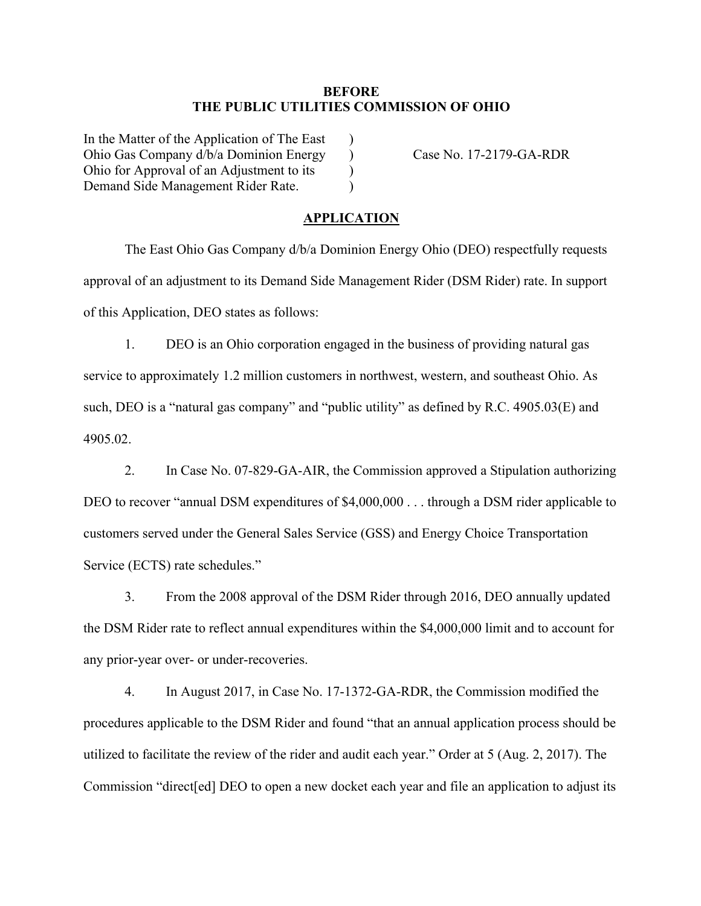## **BEFORE THE PUBLIC UTILITIES COMMISSION OF OHIO**

 $\lambda$  $\mathcal{L}$ )  $\lambda$ 

In the Matter of the Application of The East Ohio Gas Company d/b/a Dominion Energy Ohio for Approval of an Adjustment to its Demand Side Management Rider Rate.

Case No. 17-2179-GA-RDR

## **APPLICATION**

The East Ohio Gas Company d/b/a Dominion Energy Ohio (DEO) respectfully requests approval of an adjustment to its Demand Side Management Rider (DSM Rider) rate. In support of this Application, DEO states as follows:

1. DEO is an Ohio corporation engaged in the business of providing natural gas service to approximately 1.2 million customers in northwest, western, and southeast Ohio. As such, DEO is a "natural gas company" and "public utility" as defined by R.C. 4905.03(E) and 4905.02.

2. In Case No. 07-829-GA-AIR, the Commission approved a Stipulation authorizing DEO to recover "annual DSM expenditures of \$4,000,000 . . . through a DSM rider applicable to customers served under the General Sales Service (GSS) and Energy Choice Transportation Service (ECTS) rate schedules."

3. From the 2008 approval of the DSM Rider through 2016, DEO annually updated the DSM Rider rate to reflect annual expenditures within the \$4,000,000 limit and to account for any prior-year over- or under-recoveries.

4. In August 2017, in Case No. 17-1372-GA-RDR, the Commission modified the procedures applicable to the DSM Rider and found "that an annual application process should be utilized to facilitate the review of the rider and audit each year." Order at 5 (Aug. 2, 2017). The Commission "direct[ed] DEO to open a new docket each year and file an application to adjust its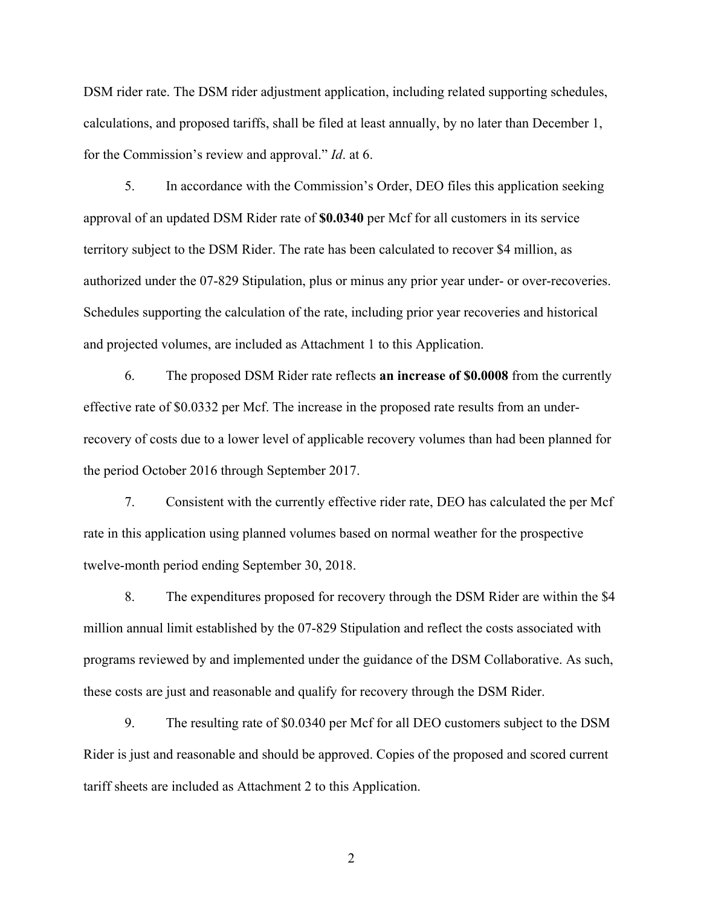DSM rider rate. The DSM rider adjustment application, including related supporting schedules, calculations, and proposed tariffs, shall be filed at least annually, by no later than December 1, for the Commission's review and approval." *Id*. at 6.

5. In accordance with the Commission's Order, DEO files this application seeking approval of an updated DSM Rider rate of **\$0.0340** per Mcf for all customers in its service territory subject to the DSM Rider. The rate has been calculated to recover \$4 million, as authorized under the 07-829 Stipulation, plus or minus any prior year under- or over-recoveries. Schedules supporting the calculation of the rate, including prior year recoveries and historical and projected volumes, are included as Attachment 1 to this Application.

6. The proposed DSM Rider rate reflects **an increase of \$0.0008** from the currently effective rate of \$0.0332 per Mcf. The increase in the proposed rate results from an underrecovery of costs due to a lower level of applicable recovery volumes than had been planned for the period October 2016 through September 2017.

7. Consistent with the currently effective rider rate, DEO has calculated the per Mcf rate in this application using planned volumes based on normal weather for the prospective twelve-month period ending September 30, 2018.

8. The expenditures proposed for recovery through the DSM Rider are within the \$4 million annual limit established by the 07-829 Stipulation and reflect the costs associated with programs reviewed by and implemented under the guidance of the DSM Collaborative. As such, these costs are just and reasonable and qualify for recovery through the DSM Rider.

9. The resulting rate of \$0.0340 per Mcf for all DEO customers subject to the DSM Rider is just and reasonable and should be approved. Copies of the proposed and scored current tariff sheets are included as Attachment 2 to this Application.

2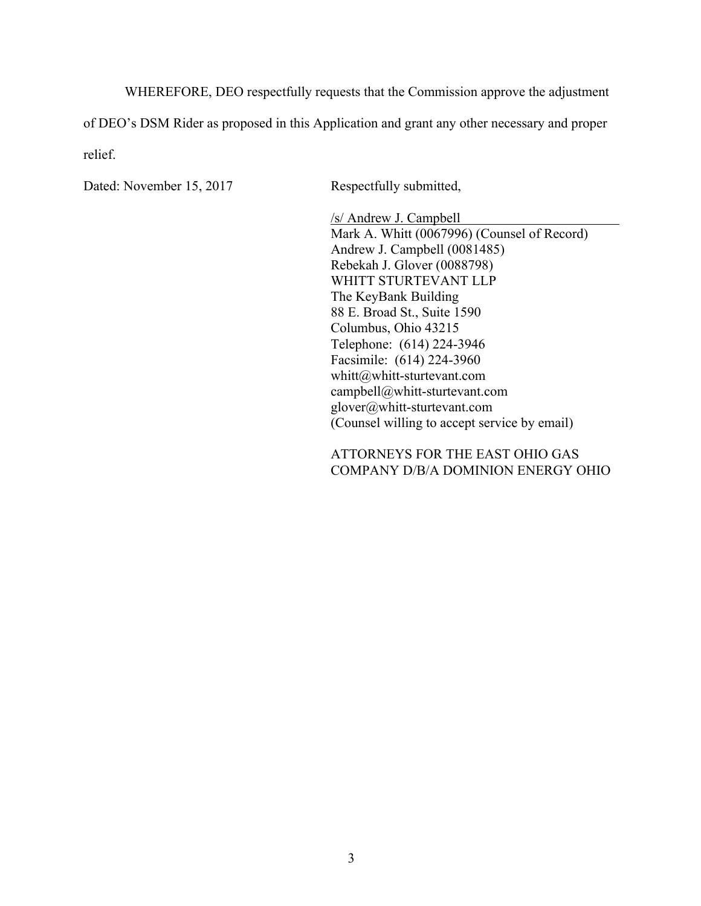WHEREFORE, DEO respectfully requests that the Commission approve the adjustment of DEO's DSM Rider as proposed in this Application and grant any other necessary and proper relief.

Dated: November 15, 2017 Respectfully submitted,

/s/ Andrew J. Campbell Mark A. Whitt (0067996) (Counsel of Record) Andrew J. Campbell (0081485) Rebekah J. Glover (0088798) WHITT STURTEVANT LLP The KeyBank Building 88 E. Broad St., Suite 1590 Columbus, Ohio 43215 Telephone: (614) 224-3946 Facsimile: (614) 224-3960 whitt@whitt-sturtevant.com campbell@whitt-sturtevant.com glover@whitt-sturtevant.com (Counsel willing to accept service by email)

ATTORNEYS FOR THE EAST OHIO GAS COMPANY D/B/A DOMINION ENERGY OHIO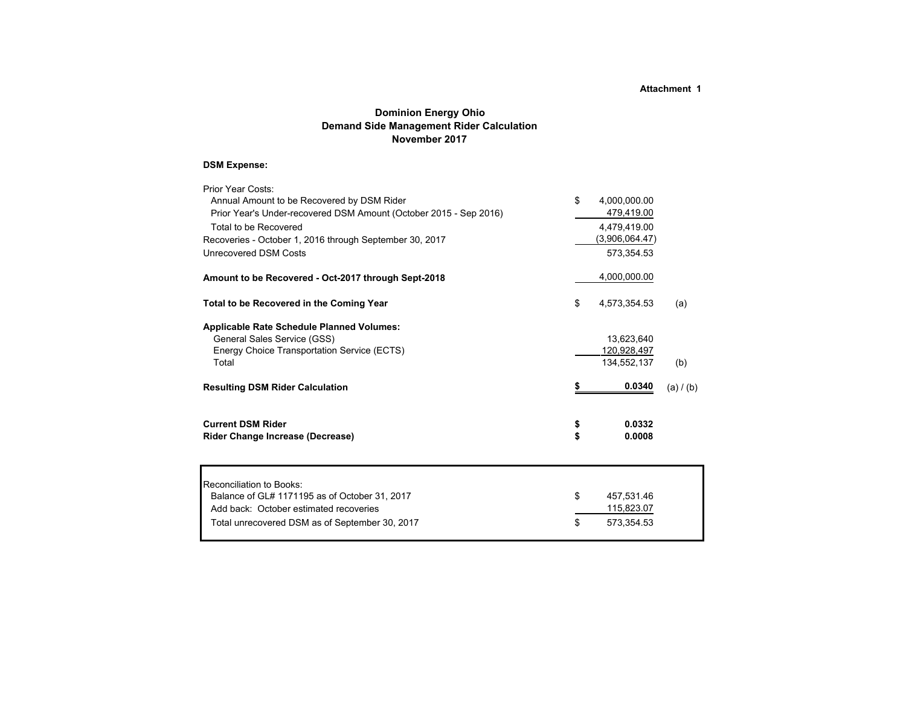## **Dominion Energy Ohio Demand Side Management Rider Calculation November 2017**

### **DSM Expense:**

| Prior Year Costs:<br>Annual Amount to be Recovered by DSM Rider<br>Prior Year's Under-recovered DSM Amount (October 2015 - Sep 2016)<br>Total to be Recovered<br>Recoveries - October 1, 2016 through September 30, 2017 | \$       | 4,000,000.00<br>479,419.00<br>4,479,419.00<br>(3,906,064.47) |           |
|--------------------------------------------------------------------------------------------------------------------------------------------------------------------------------------------------------------------------|----------|--------------------------------------------------------------|-----------|
| Unrecovered DSM Costs                                                                                                                                                                                                    |          | 573,354.53                                                   |           |
| Amount to be Recovered - Oct-2017 through Sept-2018                                                                                                                                                                      |          | 4,000,000.00                                                 |           |
| Total to be Recovered in the Coming Year                                                                                                                                                                                 | \$       | 4,573,354.53                                                 | (a)       |
| <b>Applicable Rate Schedule Planned Volumes:</b><br>General Sales Service (GSS)<br>Energy Choice Transportation Service (ECTS)<br>Total                                                                                  |          | 13,623,640<br>120,928,497<br>134,552,137                     | (b)       |
| <b>Resulting DSM Rider Calculation</b>                                                                                                                                                                                   |          | 0.0340                                                       | (a) / (b) |
| <b>Current DSM Rider</b><br><b>Rider Change Increase (Decrease)</b>                                                                                                                                                      | \$<br>\$ | 0.0332<br>0.0008                                             |           |

| Reconciliation to Books:                       |      |            |
|------------------------------------------------|------|------------|
| Balance of GL# 1171195 as of October 31, 2017  | -SS  | 457.531.46 |
| Add back: October estimated recoveries         |      | 115,823.07 |
| Total unrecovered DSM as of September 30, 2017 | - \$ | 573.354.53 |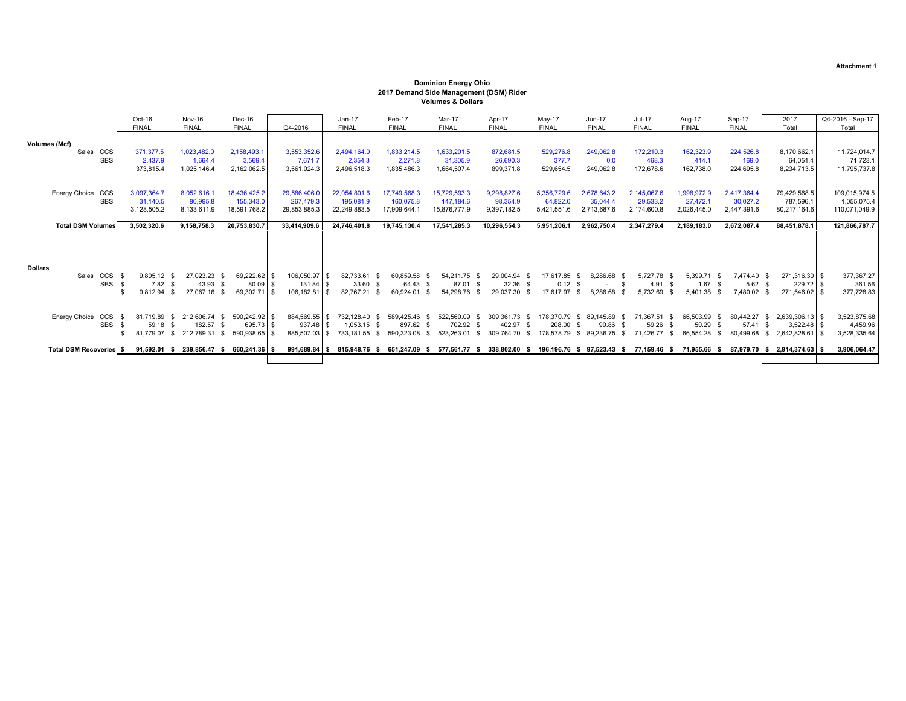### Oct-16 Nov-16 Dec-16 Jan-17 Feb-17 Mar-17 Apr-17 May-17 Jun-17 Jul-17 Aug-17 Sep-17 2017 Q4-2016 - Sep-17 FINAL FINAL FINAL Q4-2016 FINAL FINAL FINAL FINAL FINAL FINAL FINAL FINAL FINAL Total Total **Volumes (Mcf)** Sales CCS 371,377.5 1,023,482.0 2,158,493.1 3,553,352.6 2,494,164.0 1,833,214.5 1,633,201.5 872,681.5 529,276.8 249,062.8 172,210.3 162,323.9 224,526.8 8,170,662.1 11,724,014.7 SBS 2,437.9 1,664.4 3,569.4 7,671.7 2,354.3 2,271.8 31,305.9 26,690.3 377.7 0.0 468.3 414.1 169.0 64,051.4 71,723.1 373,815.4 1,025,146.4 2,162,062.5 3,561,024.3 2,496,518.3 1,835,486.3 1,664,507.4 899,371.8 529,654.5 249,062.8 172,678.6 162,738.0 224,695.8 8,234,713.5 11,795,737.8 Energy Choice CCS 3,097,364.7 8,052,616.1 18,436,425.2 29,586,406.0 22,054,801.6 17,749,568.3 15,729,593.3 9,298,827.6 5,356,729.6 2,678,643.2 2,145,067.6 1,998,972.9 2,417,364.4 79,429,568.5 109,015,974.5 SBS 31,140.5 80,995.8 155,343.0 267,479.3 195,081.9 160,075.8 147,184.6 98,354.9 64,822.0 35,044.4 29,533.2 27,472.1 30,027.2 787,596.1 1,055,075.4 3,128,505.2 8,133,611.9 18,591,768.2 29,853,885.3 22,249,883.5 17,909,644.1 15,876,777.9 9,397,182.5 5,421,551.6 2,713,687.6 2,174,600.8 2,026,445.0 2,447,391.6 80,217,164.6 110,071,049.9 Total DSM Volumes 3,502,320.6 9,158,758.3 20,753,830.7 33,414,909.6 24,746,401.8 19,745,130.4 17,541,285.3 10,296,554.3 5,951,206.1 2,962,750.4 2,347,279.4 2,189,183.0 2,672,087.4 88,451,878.1 121,866,787.7 **Dollars** Sales CCS \$ 9,805.12 \$ 27,023.23 \$ 69,222.62 \$ 106,050.97 \$ 82,733.61 \$ 60,859.58 \$ 54,211.75 \$ 29,004.94 \$ 17,617.85 \$ 8,286.68 \$ 5,727.78 \$ 5,399.71 \$ 7,474.40 \$ 271,316.30 \$ 377,367.27 SBS \$ 7.82 \$ 43.93 \$ 80.09 \$ 131.84 \$ 33.60 \$ 64.43 \$ 87.01 \$ 32.36 \$ 0.12 \$ - \$ 4.91 \$ 1.67 \$ 5.62 \$ 229.72 \$ 361.56<br>\$ 9.812.94 \$ 27.067.16 \$ 69.302.71 \$ 106.182.81 \$ 82.767.21 \$ 60.924.01 \$ 54.298.76 \$ 29.037.30 \$ 17.617 **106,182.81** \$ 82,767.21 \$ 60,924.01 \$ 54,298.76 \$ 29,037.30 \$ 17,617.97 \$ 8,286.68 \$ 5,732.69 \$ 5,401.38 \$ Energy Choice CCS \$ 81,719.89 \$ 212,606.74 \$ 590,242.92 \$ 884,569.55 \$ 732,128.40 \$ 589,425.46 \$ 522,560.09 \$ 309,361.73 \$ 178,370.79 \$ 89,145.89 \$ 71,367.51 \$ 66,503.99 \$ 80,442.27 \$ 2,639,306.13 \$ 3,523,875.68<br>SBS \$ 50.1  $\frac{1}{3}$  59.18 \$ 182.57 \$ 695.73 \$ 937.48 \$ 1,053.15 \$ 897.62 \$ 702.92 \$ 402.97 \$ 208.00 \$ 90.86 \$ 59.26 \$ 50.29 \$ 57.41 \$ 3,522.48 \$ 402.97 \$ 21.779.07 \$ 212.789.31 \$ 590.938.65 \$ 88.507.03 \$ 73.181.55 \$ 590.99.968 \$ 2, \$ 885,507,03 \$ 733,181,55 \$ 590,323.08 \$ 523,263.01 \$ 309,764,70 \$ 178,578.79 \$ 89,236.75 \$ 71,426.77 \$ 66.554.28 \$ 80,499.68 \$ 2,642,828.61 \$ 3.528,335.64 Total DSM Recoveries \$ 91,592.01 \$ 239,856.47 \$ 660,241.36 \$ 991,689.84 \$ 815,948.76 \$ 651,247.09 \$ 577,561.77 \$ 338,802.00 \$ 196,196.76 \$ 97,523.43 \$ 77,159.46 \$ 71,955.66 \$ 87,979.70 \$ 2,914,374.63 \$ 3,906,064.47 **Volumes & Dollars**

### **Dominion Energy Ohio 2017 Demand Side Management (DSM) Rider**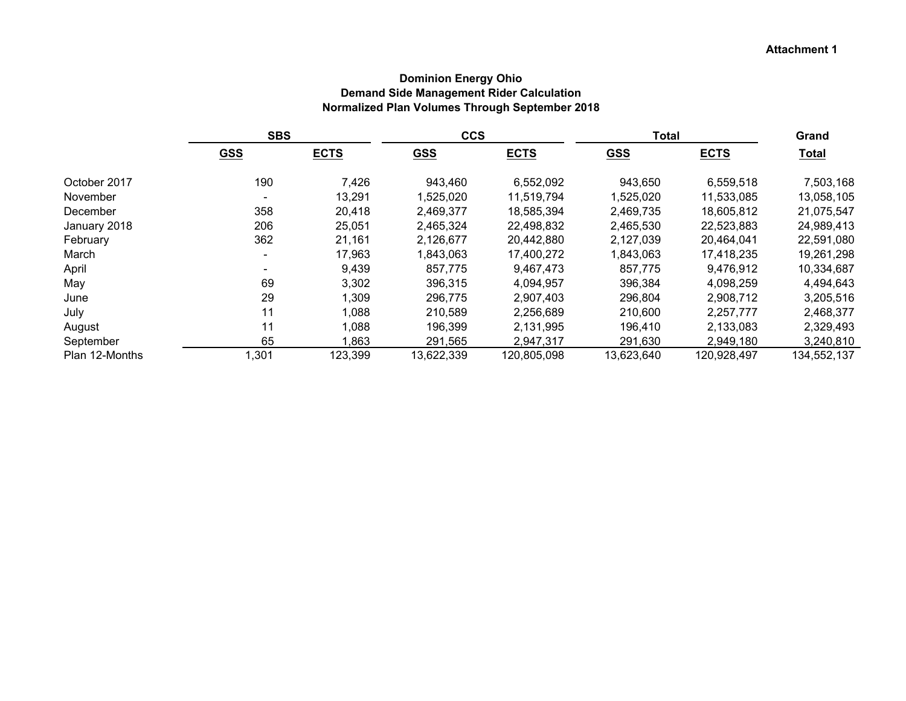## **Dominion Energy Ohio Demand Side Management Rider Calculation Normalized Plan Volumes Through September 2018**

|                | <b>SBS</b> |             | <b>CCS</b> |             | <b>Total</b> |             | Grand        |
|----------------|------------|-------------|------------|-------------|--------------|-------------|--------------|
|                | <b>GSS</b> | <b>ECTS</b> | <b>GSS</b> | <b>ECTS</b> | <b>GSS</b>   | <b>ECTS</b> | <b>Total</b> |
| October 2017   | 190        | 7,426       | 943.460    | 6,552,092   | 943,650      | 6,559,518   | 7,503,168    |
| November       |            | 13,291      | 1,525,020  | 11,519,794  | 1,525,020    | 11,533,085  | 13,058,105   |
| December       | 358        | 20,418      | 2,469,377  | 18,585,394  | 2,469,735    | 18,605,812  | 21,075,547   |
| January 2018   | 206        | 25,051      | 2,465,324  | 22,498,832  | 2,465,530    | 22,523,883  | 24,989,413   |
| February       | 362        | 21,161      | 2,126,677  | 20,442,880  | 2,127,039    | 20,464,041  | 22,591,080   |
| March          |            | 17,963      | 1,843,063  | 17,400,272  | 1,843,063    | 17,418,235  | 19,261,298   |
| April          |            | 9,439       | 857,775    | 9,467,473   | 857,775      | 9,476,912   | 10,334,687   |
| May            | 69         | 3,302       | 396,315    | 4,094,957   | 396,384      | 4,098,259   | 4,494,643    |
| June           | 29         | 1,309       | 296,775    | 2,907,403   | 296,804      | 2,908,712   | 3,205,516    |
| July           | 11         | 1,088       | 210,589    | 2,256,689   | 210,600      | 2,257,777   | 2,468,377    |
| August         | 11         | 1,088       | 196,399    | 2,131,995   | 196,410      | 2,133,083   | 2,329,493    |
| September      | 65         | 1,863       | 291,565    | 2,947,317   | 291,630      | 2,949,180   | 3,240,810    |
| Plan 12-Months | ,301       | 123,399     | 13,622,339 | 120,805,098 | 13,623,640   | 120,928,497 | 134,552,137  |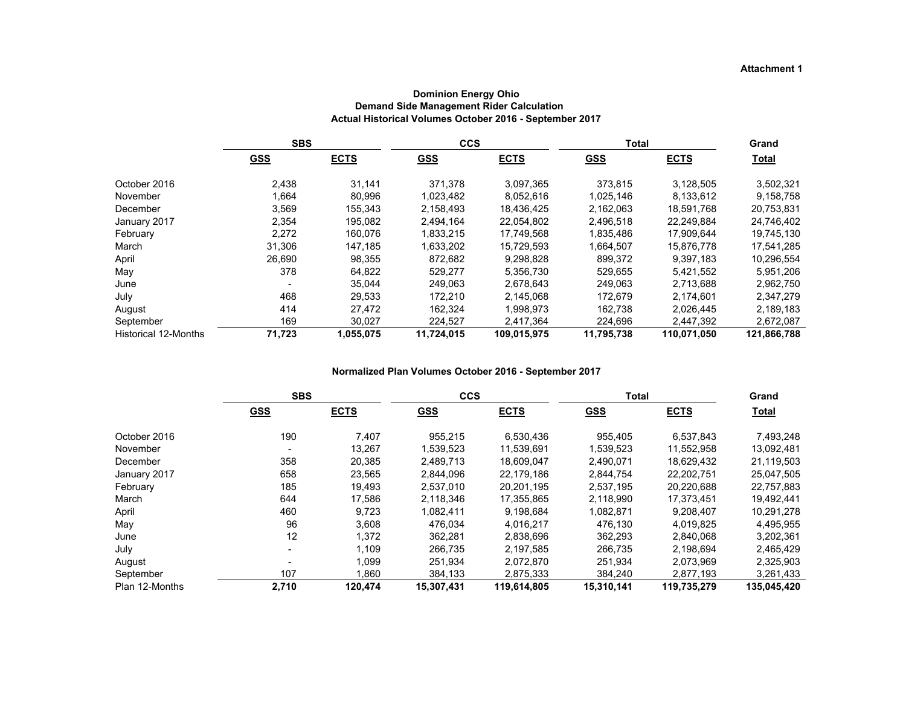|                             | <b>SBS</b> |             | <b>CCS</b> |             | <b>Total</b> |             | Grand        |
|-----------------------------|------------|-------------|------------|-------------|--------------|-------------|--------------|
|                             | <u>GSS</u> | <b>ECTS</b> | <b>GSS</b> | <b>ECTS</b> | <b>GSS</b>   | <b>ECTS</b> | <b>Total</b> |
| October 2016                | 2.438      | 31.141      | 371.378    | 3.097.365   | 373.815      | 3.128.505   | 3,502,321    |
| November                    | 1.664      | 80,996      | 1,023,482  | 8.052.616   | 1.025.146    | 8.133.612   | 9,158,758    |
| December                    | 3.569      | 155.343     | 2,158,493  | 18,436,425  | 2.162.063    | 18.591.768  | 20,753,831   |
| January 2017                | 2,354      | 195,082     | 2,494,164  | 22,054,802  | 2,496,518    | 22.249.884  | 24,746,402   |
| February                    | 2,272      | 160,076     | 1,833,215  | 17,749,568  | 1,835,486    | 17,909,644  | 19,745,130   |
| March                       | 31.306     | 147.185     | 1,633,202  | 15,729,593  | 1,664,507    | 15,876,778  | 17,541,285   |
| April                       | 26,690     | 98,355      | 872.682    | 9,298,828   | 899.372      | 9.397.183   | 10,296,554   |
| May                         | 378        | 64,822      | 529.277    | 5,356,730   | 529.655      | 5,421,552   | 5,951,206    |
| June                        |            | 35,044      | 249.063    | 2,678,643   | 249.063      | 2.713.688   | 2,962,750    |
| July                        | 468        | 29.533      | 172.210    | 2,145,068   | 172.679      | 2.174.601   | 2,347,279    |
| August                      | 414        | 27,472      | 162.324    | 1,998,973   | 162.738      | 2.026.445   | 2,189,183    |
| September                   | 169        | 30,027      | 224,527    | 2,417,364   | 224,696      | 2,447,392   | 2,672,087    |
| <b>Historical 12-Months</b> | 71,723     | 1,055,075   | 11,724,015 | 109,015,975 | 11,795,738   | 110,071,050 | 121,866,788  |

#### **Dominion Energy Ohio Demand Side Management Rider Calculation Actual Historical Volumes October 2016 - September 2017**

#### **Normalized Plan Volumes October 2016 - September 2017**

|                | <b>SBS</b> |             | <b>CCS</b> |             | Total      |             | Grand       |
|----------------|------------|-------------|------------|-------------|------------|-------------|-------------|
|                | <b>GSS</b> | <b>ECTS</b> | <b>GSS</b> | <b>ECTS</b> | <b>GSS</b> | <b>ECTS</b> | Total       |
| October 2016   | 190        | 7,407       | 955,215    | 6,530,436   | 955,405    | 6,537,843   | 7,493,248   |
| November       |            | 13,267      | 1,539,523  | 11,539,691  | 1,539,523  | 11,552,958  | 13,092,481  |
| December       | 358        | 20,385      | 2,489,713  | 18,609,047  | 2,490,071  | 18,629,432  | 21,119,503  |
| January 2017   | 658        | 23,565      | 2,844,096  | 22.179.186  | 2,844,754  | 22.202.751  | 25,047,505  |
| February       | 185        | 19,493      | 2,537,010  | 20,201,195  | 2,537,195  | 20,220,688  | 22,757,883  |
| March          | 644        | 17,586      | 2.118.346  | 17,355,865  | 2,118,990  | 17.373.451  | 19.492.441  |
| April          | 460        | 9,723       | 1,082,411  | 9,198,684   | 1,082,871  | 9,208,407   | 10,291,278  |
| May            | 96         | 3,608       | 476,034    | 4,016,217   | 476,130    | 4,019,825   | 4,495,955   |
| June           | 12         | 1,372       | 362,281    | 2,838,696   | 362,293    | 2,840,068   | 3,202,361   |
| July           |            | 1,109       | 266.735    | 2,197,585   | 266.735    | 2,198,694   | 2,465,429   |
| August         |            | 1,099       | 251,934    | 2,072,870   | 251,934    | 2,073,969   | 2,325,903   |
| September      | 107        | .860        | 384.133    | 2.875.333   | 384.240    | 2.877.193   | 3,261,433   |
| Plan 12-Months | 2,710      | 120.474     | 15,307,431 | 119.614.805 | 15,310,141 | 119,735,279 | 135.045.420 |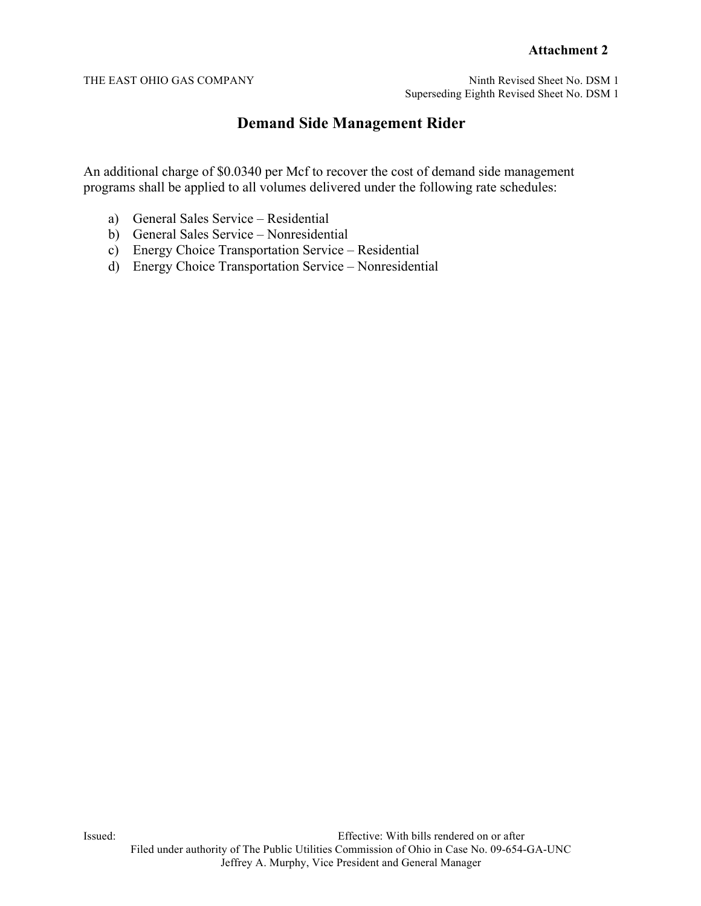THE EAST OHIO GAS COMPANY Ninth Revised Sheet No. DSM 1 Superseding Eighth Revised Sheet No. DSM 1

# **Demand Side Management Rider**

An additional charge of \$0.0340 per Mcf to recover the cost of demand side management programs shall be applied to all volumes delivered under the following rate schedules:

- a) General Sales Service Residential
- b) General Sales Service Nonresidential
- c) Energy Choice Transportation Service Residential
- d) Energy Choice Transportation Service Nonresidential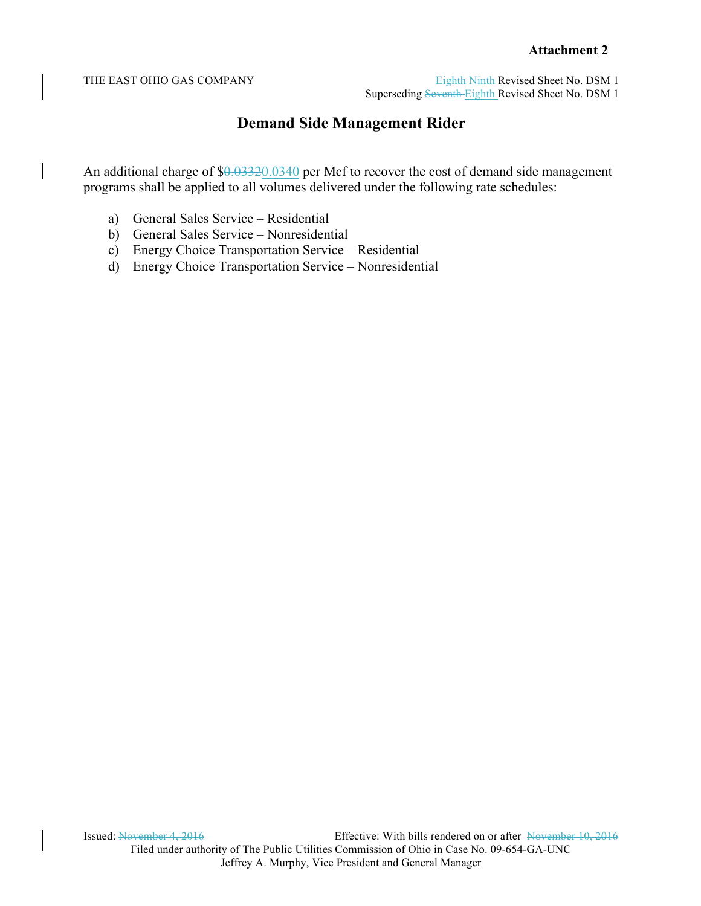THE EAST OHIO GAS COMPANY Eighth-Ninth Revised Sheet No. DSM 1 Superseding Seventh Eighth Revised Sheet No. DSM 1

# **Demand Side Management Rider**

An additional charge of \$0.03320.0340 per Mcf to recover the cost of demand side management programs shall be applied to all volumes delivered under the following rate schedules:

- a) General Sales Service Residential
- b) General Sales Service Nonresidential
- c) Energy Choice Transportation Service Residential
- d) Energy Choice Transportation Service Nonresidential